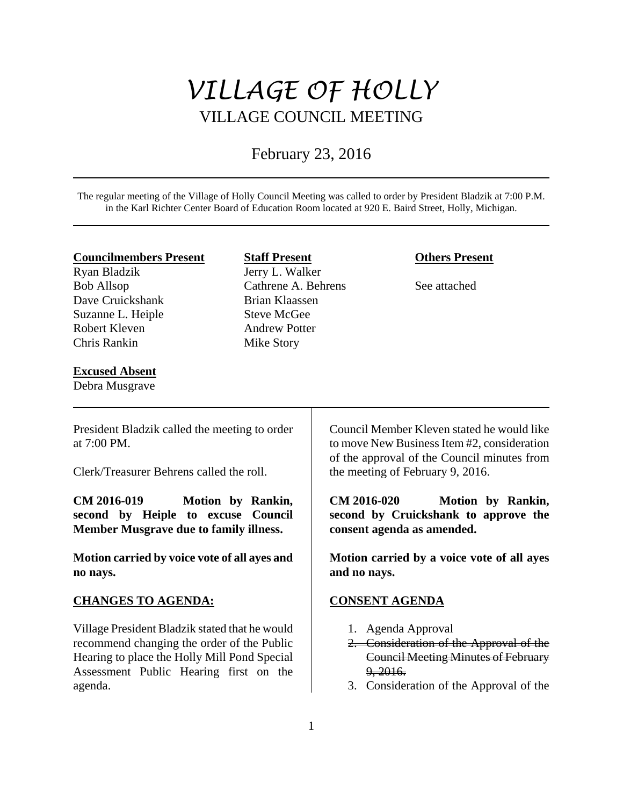# *VILLAGE OF HOLLY*  VILLAGE COUNCIL MEETING

## February 23, 2016

The regular meeting of the Village of Holly Council Meeting was called to order by President Bladzik at 7:00 P.M. in the Karl Richter Center Board of Education Room located at 920 E. Baird Street, Holly, Michigan.

#### **Councilmembers Present**

Ryan Bladzik Bob Allsop Dave Cruickshank Suzanne L. Heiple Robert Kleven Chris Rankin

## **Excused Absent**

Debra Musgrave

## **Staff Present**

Jerry L. Walker Cathrene A. Behrens Brian Klaassen Steve McGee Andrew Potter Mike Story

## **Others Present**

See attached

President Bladzik called the meeting to order at 7:00 PM.

Clerk/Treasurer Behrens called the roll.

**CM 2016-019 Motion by Rankin, second by Heiple to excuse Council Member Musgrave due to family illness.** 

**Motion carried by voice vote of all ayes and no nays.** 

## **CHANGES TO AGENDA:**

Village President Bladzik stated that he would recommend changing the order of the Public Hearing to place the Holly Mill Pond Special Assessment Public Hearing first on the agenda.

Council Member Kleven stated he would like to move New Business Item #2, consideration of the approval of the Council minutes from the meeting of February 9, 2016.

**CM 2016-020 Motion by Rankin, second by Cruickshank to approve the consent agenda as amended.** 

**Motion carried by a voice vote of all ayes and no nays.** 

## **CONSENT AGENDA**

- 1. Agenda Approval
- 2. Consideration of the Approval of the Council Meeting Minutes of February  $9, 2016.$
- 3. Consideration of the Approval of the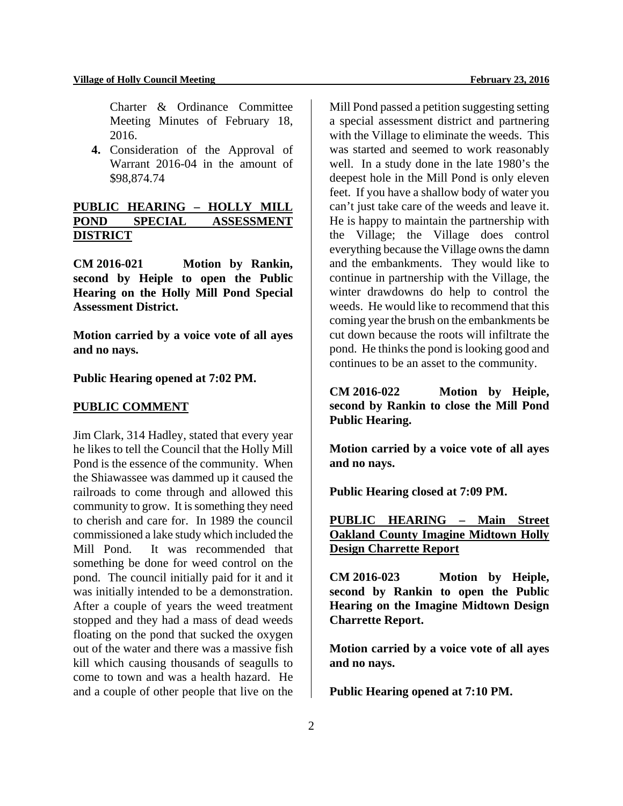Charter & Ordinance Committee Meeting Minutes of February 18, 2016.

**4.** Consideration of the Approval of Warrant 2016-04 in the amount of \$98,874.74

## **PUBLIC HEARING – HOLLY MILL POND SPECIAL ASSESSMENT DISTRICT**

**CM 2016-021 Motion by Rankin, second by Heiple to open the Public Hearing on the Holly Mill Pond Special Assessment District.** 

**Motion carried by a voice vote of all ayes and no nays.** 

#### **Public Hearing opened at 7:02 PM.**

#### **PUBLIC COMMENT**

Jim Clark, 314 Hadley, stated that every year he likes to tell the Council that the Holly Mill Pond is the essence of the community. When the Shiawassee was dammed up it caused the railroads to come through and allowed this community to grow. It is something they need to cherish and care for. In 1989 the council commissioned a lake study which included the Mill Pond. It was recommended that something be done for weed control on the pond. The council initially paid for it and it was initially intended to be a demonstration. After a couple of years the weed treatment stopped and they had a mass of dead weeds floating on the pond that sucked the oxygen out of the water and there was a massive fish kill which causing thousands of seagulls to come to town and was a health hazard. He and a couple of other people that live on the

Mill Pond passed a petition suggesting setting a special assessment district and partnering with the Village to eliminate the weeds. This was started and seemed to work reasonably well. In a study done in the late 1980's the deepest hole in the Mill Pond is only eleven feet. If you have a shallow body of water you can't just take care of the weeds and leave it. He is happy to maintain the partnership with the Village; the Village does control everything because the Village owns the damn and the embankments. They would like to continue in partnership with the Village, the winter drawdowns do help to control the weeds. He would like to recommend that this coming year the brush on the embankments be cut down because the roots will infiltrate the pond. He thinks the pond is looking good and continues to be an asset to the community.

**CM 2016-022 Motion by Heiple, second by Rankin to close the Mill Pond Public Hearing.** 

**Motion carried by a voice vote of all ayes and no nays.** 

**Public Hearing closed at 7:09 PM.** 

## **PUBLIC HEARING – Main Street Oakland County Imagine Midtown Holly Design Charrette Report**

**CM 2016-023 Motion by Heiple, second by Rankin to open the Public Hearing on the Imagine Midtown Design Charrette Report.** 

**Motion carried by a voice vote of all ayes and no nays.** 

**Public Hearing opened at 7:10 PM.**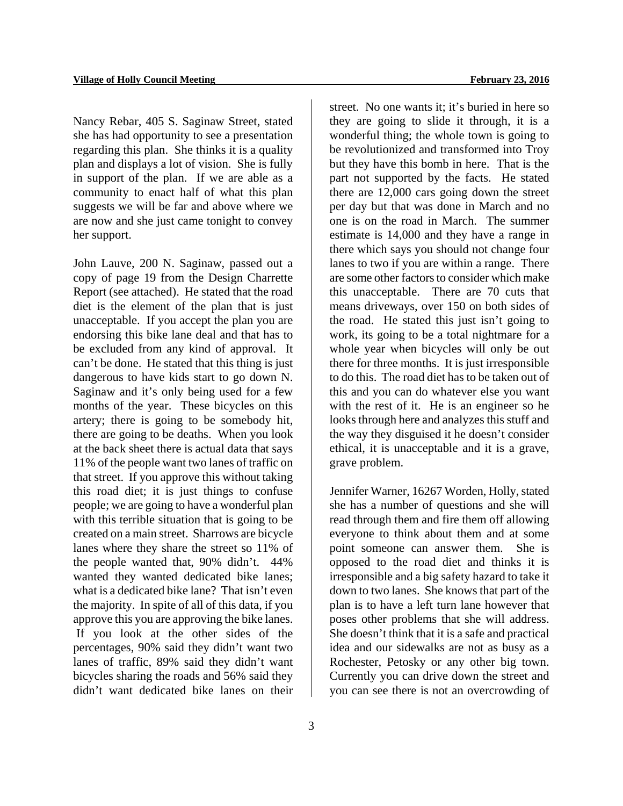Nancy Rebar, 405 S. Saginaw Street, stated she has had opportunity to see a presentation regarding this plan. She thinks it is a quality plan and displays a lot of vision. She is fully in support of the plan. If we are able as a community to enact half of what this plan suggests we will be far and above where we are now and she just came tonight to convey her support.

John Lauve, 200 N. Saginaw, passed out a copy of page 19 from the Design Charrette Report (see attached). He stated that the road diet is the element of the plan that is just unacceptable. If you accept the plan you are endorsing this bike lane deal and that has to be excluded from any kind of approval. It can't be done. He stated that this thing is just dangerous to have kids start to go down N. Saginaw and it's only being used for a few months of the year. These bicycles on this artery; there is going to be somebody hit, there are going to be deaths. When you look at the back sheet there is actual data that says 11% of the people want two lanes of traffic on that street. If you approve this without taking this road diet; it is just things to confuse people; we are going to have a wonderful plan with this terrible situation that is going to be created on a main street. Sharrows are bicycle lanes where they share the street so 11% of the people wanted that, 90% didn't. 44% wanted they wanted dedicated bike lanes; what is a dedicated bike lane? That isn't even the majority. In spite of all of this data, if you approve this you are approving the bike lanes. If you look at the other sides of the percentages, 90% said they didn't want two lanes of traffic, 89% said they didn't want bicycles sharing the roads and 56% said they didn't want dedicated bike lanes on their

street. No one wants it; it's buried in here so they are going to slide it through, it is a wonderful thing; the whole town is going to be revolutionized and transformed into Troy but they have this bomb in here. That is the part not supported by the facts. He stated there are 12,000 cars going down the street per day but that was done in March and no one is on the road in March. The summer estimate is 14,000 and they have a range in there which says you should not change four lanes to two if you are within a range. There are some other factors to consider which make this unacceptable. There are 70 cuts that means driveways, over 150 on both sides of the road. He stated this just isn't going to work, its going to be a total nightmare for a whole year when bicycles will only be out there for three months. It is just irresponsible to do this. The road diet has to be taken out of this and you can do whatever else you want with the rest of it. He is an engineer so he looks through here and analyzes this stuff and the way they disguised it he doesn't consider ethical, it is unacceptable and it is a grave, grave problem.

Jennifer Warner, 16267 Worden, Holly, stated she has a number of questions and she will read through them and fire them off allowing everyone to think about them and at some point someone can answer them. She is opposed to the road diet and thinks it is irresponsible and a big safety hazard to take it down to two lanes. She knows that part of the plan is to have a left turn lane however that poses other problems that she will address. She doesn't think that it is a safe and practical idea and our sidewalks are not as busy as a Rochester, Petosky or any other big town. Currently you can drive down the street and you can see there is not an overcrowding of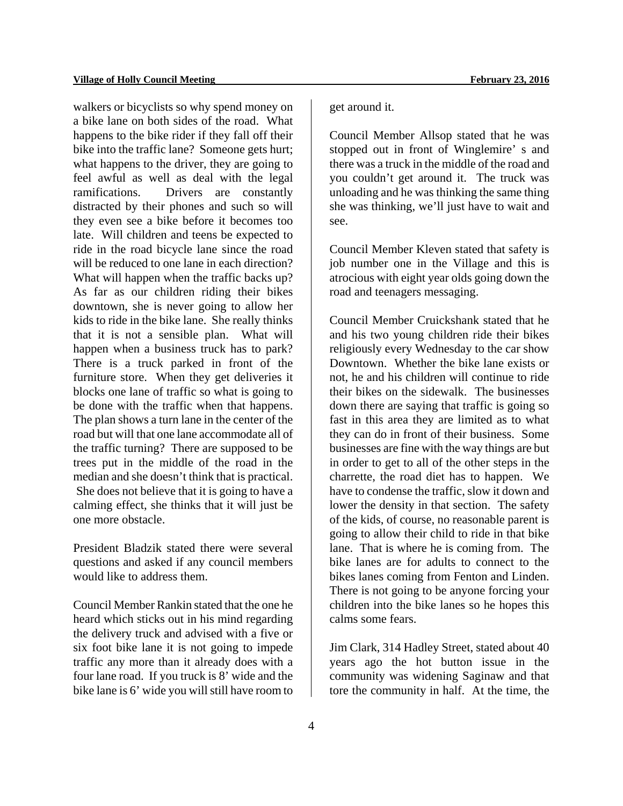walkers or bicyclists so why spend money on a bike lane on both sides of the road. What happens to the bike rider if they fall off their bike into the traffic lane? Someone gets hurt; what happens to the driver, they are going to feel awful as well as deal with the legal ramifications. Drivers are constantly distracted by their phones and such so will they even see a bike before it becomes too late. Will children and teens be expected to ride in the road bicycle lane since the road will be reduced to one lane in each direction? What will happen when the traffic backs up? As far as our children riding their bikes downtown, she is never going to allow her kids to ride in the bike lane. She really thinks that it is not a sensible plan. What will happen when a business truck has to park? There is a truck parked in front of the furniture store. When they get deliveries it blocks one lane of traffic so what is going to be done with the traffic when that happens. The plan shows a turn lane in the center of the road but will that one lane accommodate all of the traffic turning? There are supposed to be trees put in the middle of the road in the median and she doesn't think that is practical. She does not believe that it is going to have a calming effect, she thinks that it will just be one more obstacle.

President Bladzik stated there were several questions and asked if any council members would like to address them.

Council Member Rankin stated that the one he heard which sticks out in his mind regarding the delivery truck and advised with a five or six foot bike lane it is not going to impede traffic any more than it already does with a four lane road. If you truck is 8' wide and the bike lane is 6' wide you will still have room to get around it.

Council Member Allsop stated that he was stopped out in front of Winglemire' s and there was a truck in the middle of the road and you couldn't get around it. The truck was unloading and he was thinking the same thing she was thinking, we'll just have to wait and see.

Council Member Kleven stated that safety is job number one in the Village and this is atrocious with eight year olds going down the road and teenagers messaging.

Council Member Cruickshank stated that he and his two young children ride their bikes religiously every Wednesday to the car show Downtown. Whether the bike lane exists or not, he and his children will continue to ride their bikes on the sidewalk. The businesses down there are saying that traffic is going so fast in this area they are limited as to what they can do in front of their business. Some businesses are fine with the way things are but in order to get to all of the other steps in the charrette, the road diet has to happen. We have to condense the traffic, slow it down and lower the density in that section. The safety of the kids, of course, no reasonable parent is going to allow their child to ride in that bike lane. That is where he is coming from. The bike lanes are for adults to connect to the bikes lanes coming from Fenton and Linden. There is not going to be anyone forcing your children into the bike lanes so he hopes this calms some fears.

Jim Clark, 314 Hadley Street, stated about 40 years ago the hot button issue in the community was widening Saginaw and that tore the community in half. At the time, the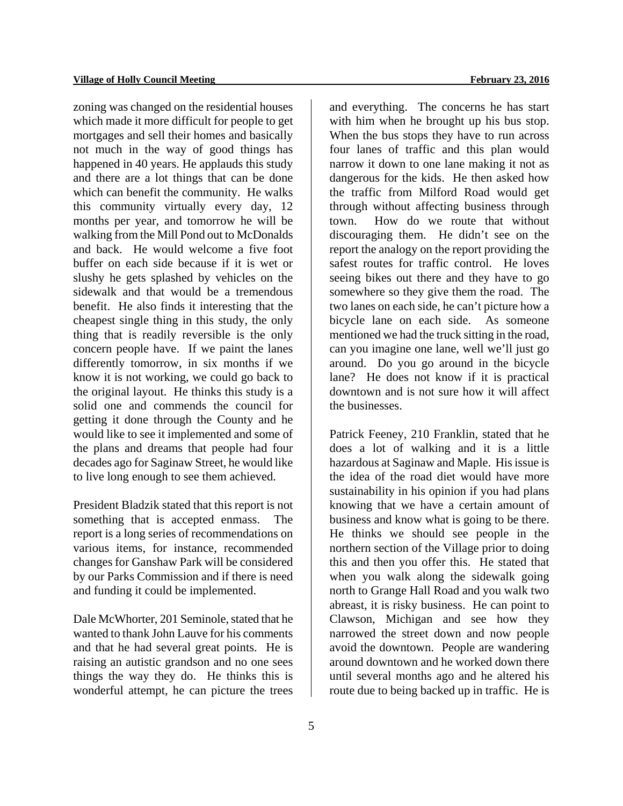zoning was changed on the residential houses which made it more difficult for people to get mortgages and sell their homes and basically not much in the way of good things has happened in 40 years. He applauds this study and there are a lot things that can be done which can benefit the community. He walks this community virtually every day, 12 months per year, and tomorrow he will be walking from the Mill Pond out to McDonalds and back. He would welcome a five foot buffer on each side because if it is wet or slushy he gets splashed by vehicles on the sidewalk and that would be a tremendous benefit. He also finds it interesting that the cheapest single thing in this study, the only thing that is readily reversible is the only concern people have. If we paint the lanes differently tomorrow, in six months if we know it is not working, we could go back to the original layout. He thinks this study is a solid one and commends the council for getting it done through the County and he would like to see it implemented and some of the plans and dreams that people had four decades ago for Saginaw Street, he would like to live long enough to see them achieved.

President Bladzik stated that this report is not something that is accepted enmass. The report is a long series of recommendations on various items, for instance, recommended changes for Ganshaw Park will be considered by our Parks Commission and if there is need and funding it could be implemented.

Dale McWhorter, 201 Seminole, stated that he wanted to thank John Lauve for his comments and that he had several great points. He is raising an autistic grandson and no one sees things the way they do. He thinks this is wonderful attempt, he can picture the trees and everything. The concerns he has start with him when he brought up his bus stop. When the bus stops they have to run across four lanes of traffic and this plan would narrow it down to one lane making it not as dangerous for the kids. He then asked how the traffic from Milford Road would get through without affecting business through town. How do we route that without discouraging them. He didn't see on the report the analogy on the report providing the safest routes for traffic control. He loves seeing bikes out there and they have to go somewhere so they give them the road. The two lanes on each side, he can't picture how a bicycle lane on each side. As someone mentioned we had the truck sitting in the road, can you imagine one lane, well we'll just go around. Do you go around in the bicycle lane? He does not know if it is practical downtown and is not sure how it will affect the businesses.

Patrick Feeney, 210 Franklin, stated that he does a lot of walking and it is a little hazardous at Saginaw and Maple. His issue is the idea of the road diet would have more sustainability in his opinion if you had plans knowing that we have a certain amount of business and know what is going to be there. He thinks we should see people in the northern section of the Village prior to doing this and then you offer this. He stated that when you walk along the sidewalk going north to Grange Hall Road and you walk two abreast, it is risky business. He can point to Clawson, Michigan and see how they narrowed the street down and now people avoid the downtown. People are wandering around downtown and he worked down there until several months ago and he altered his route due to being backed up in traffic. He is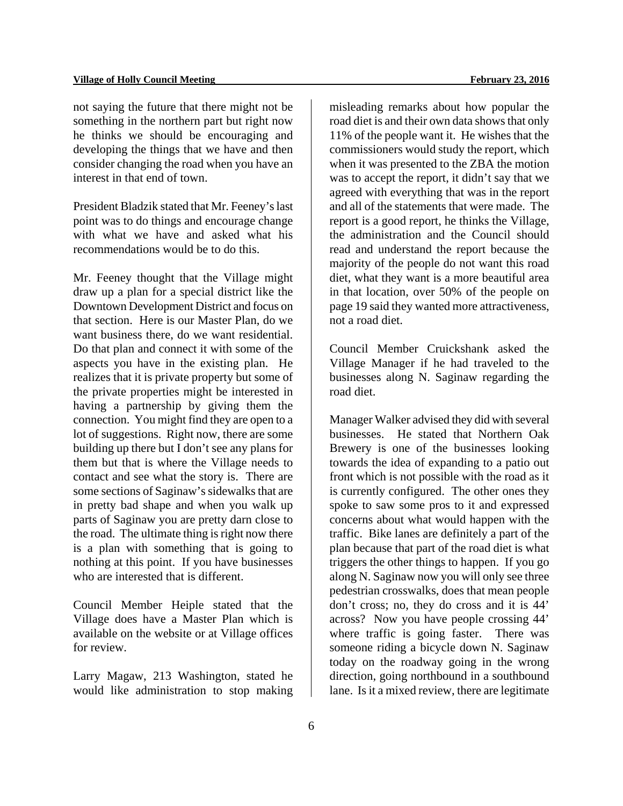not saying the future that there might not be something in the northern part but right now he thinks we should be encouraging and developing the things that we have and then consider changing the road when you have an interest in that end of town.

President Bladzik stated that Mr. Feeney's last point was to do things and encourage change with what we have and asked what his recommendations would be to do this.

Mr. Feeney thought that the Village might draw up a plan for a special district like the Downtown Development District and focus on that section. Here is our Master Plan, do we want business there, do we want residential. Do that plan and connect it with some of the aspects you have in the existing plan. He realizes that it is private property but some of the private properties might be interested in having a partnership by giving them the connection. You might find they are open to a lot of suggestions. Right now, there are some building up there but I don't see any plans for them but that is where the Village needs to contact and see what the story is. There are some sections of Saginaw's sidewalks that are in pretty bad shape and when you walk up parts of Saginaw you are pretty darn close to the road. The ultimate thing is right now there is a plan with something that is going to nothing at this point. If you have businesses who are interested that is different.

Council Member Heiple stated that the Village does have a Master Plan which is available on the website or at Village offices for review.

Larry Magaw, 213 Washington, stated he would like administration to stop making misleading remarks about how popular the road diet is and their own data shows that only 11% of the people want it. He wishes that the commissioners would study the report, which when it was presented to the ZBA the motion was to accept the report, it didn't say that we agreed with everything that was in the report and all of the statements that were made. The report is a good report, he thinks the Village, the administration and the Council should read and understand the report because the majority of the people do not want this road diet, what they want is a more beautiful area in that location, over 50% of the people on page 19 said they wanted more attractiveness, not a road diet.

Council Member Cruickshank asked the Village Manager if he had traveled to the businesses along N. Saginaw regarding the road diet.

Manager Walker advised they did with several businesses. He stated that Northern Oak Brewery is one of the businesses looking towards the idea of expanding to a patio out front which is not possible with the road as it is currently configured. The other ones they spoke to saw some pros to it and expressed concerns about what would happen with the traffic. Bike lanes are definitely a part of the plan because that part of the road diet is what triggers the other things to happen. If you go along N. Saginaw now you will only see three pedestrian crosswalks, does that mean people don't cross; no, they do cross and it is 44' across? Now you have people crossing 44' where traffic is going faster. There was someone riding a bicycle down N. Saginaw today on the roadway going in the wrong direction, going northbound in a southbound lane. Is it a mixed review, there are legitimate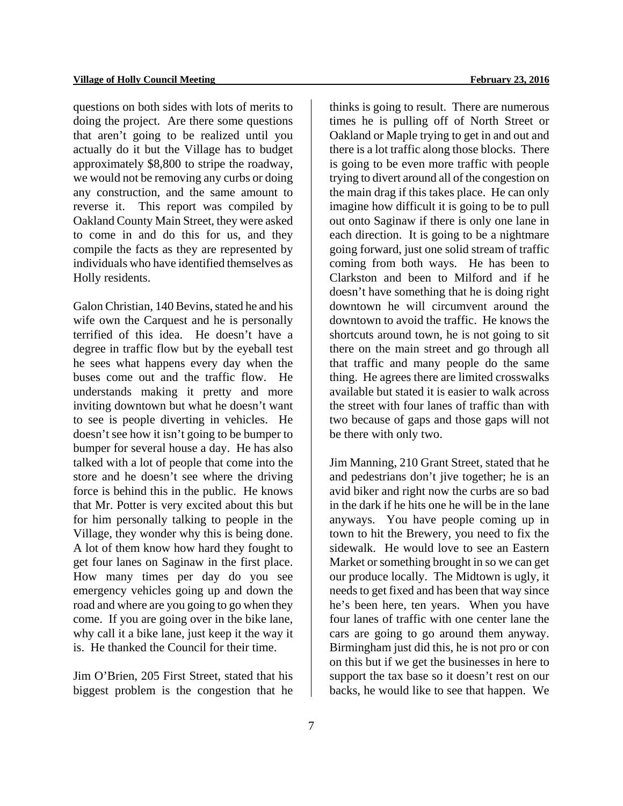questions on both sides with lots of merits to doing the project. Are there some questions that aren't going to be realized until you actually do it but the Village has to budget approximately \$8,800 to stripe the roadway, we would not be removing any curbs or doing any construction, and the same amount to reverse it. This report was compiled by Oakland County Main Street, they were asked to come in and do this for us, and they compile the facts as they are represented by individuals who have identified themselves as Holly residents.

Galon Christian, 140 Bevins, stated he and his wife own the Carquest and he is personally terrified of this idea. He doesn't have a degree in traffic flow but by the eyeball test he sees what happens every day when the buses come out and the traffic flow. He understands making it pretty and more inviting downtown but what he doesn't want to see is people diverting in vehicles. He doesn't see how it isn't going to be bumper to bumper for several house a day. He has also talked with a lot of people that come into the store and he doesn't see where the driving force is behind this in the public. He knows that Mr. Potter is very excited about this but for him personally talking to people in the Village, they wonder why this is being done. A lot of them know how hard they fought to get four lanes on Saginaw in the first place. How many times per day do you see emergency vehicles going up and down the road and where are you going to go when they come. If you are going over in the bike lane, why call it a bike lane, just keep it the way it is. He thanked the Council for their time.

Jim O'Brien, 205 First Street, stated that his biggest problem is the congestion that he thinks is going to result. There are numerous times he is pulling off of North Street or Oakland or Maple trying to get in and out and there is a lot traffic along those blocks. There is going to be even more traffic with people trying to divert around all of the congestion on the main drag if this takes place. He can only imagine how difficult it is going to be to pull out onto Saginaw if there is only one lane in each direction. It is going to be a nightmare going forward, just one solid stream of traffic coming from both ways. He has been to Clarkston and been to Milford and if he doesn't have something that he is doing right downtown he will circumvent around the downtown to avoid the traffic. He knows the shortcuts around town, he is not going to sit there on the main street and go through all that traffic and many people do the same thing. He agrees there are limited crosswalks available but stated it is easier to walk across the street with four lanes of traffic than with two because of gaps and those gaps will not be there with only two.

Jim Manning, 210 Grant Street, stated that he and pedestrians don't jive together; he is an avid biker and right now the curbs are so bad in the dark if he hits one he will be in the lane anyways. You have people coming up in town to hit the Brewery, you need to fix the sidewalk. He would love to see an Eastern Market or something brought in so we can get our produce locally. The Midtown is ugly, it needs to get fixed and has been that way since he's been here, ten years. When you have four lanes of traffic with one center lane the cars are going to go around them anyway. Birmingham just did this, he is not pro or con on this but if we get the businesses in here to support the tax base so it doesn't rest on our backs, he would like to see that happen. We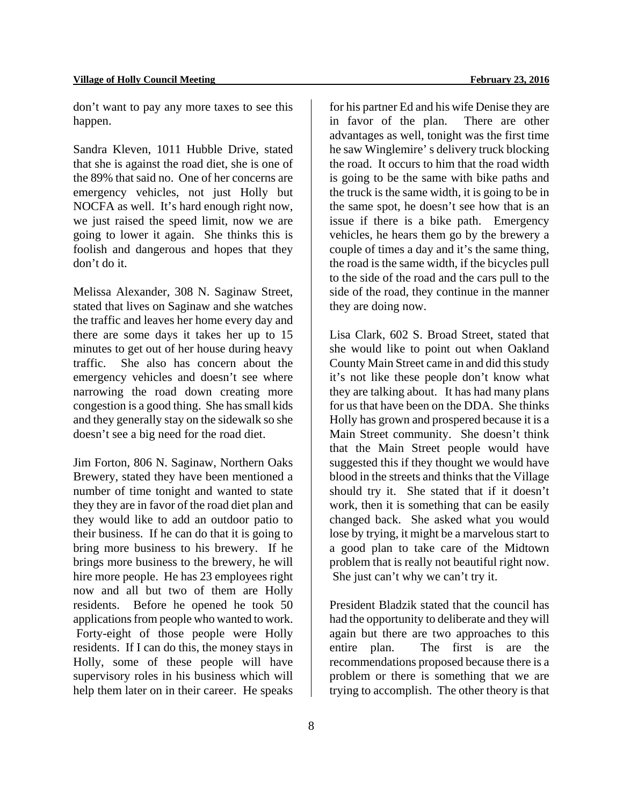don't want to pay any more taxes to see this happen.

Sandra Kleven, 1011 Hubble Drive, stated that she is against the road diet, she is one of the 89% that said no. One of her concerns are emergency vehicles, not just Holly but NOCFA as well. It's hard enough right now, we just raised the speed limit, now we are going to lower it again. She thinks this is foolish and dangerous and hopes that they don't do it.

Melissa Alexander, 308 N. Saginaw Street, stated that lives on Saginaw and she watches the traffic and leaves her home every day and there are some days it takes her up to 15 minutes to get out of her house during heavy traffic. She also has concern about the emergency vehicles and doesn't see where narrowing the road down creating more congestion is a good thing. She has small kids and they generally stay on the sidewalk so she doesn't see a big need for the road diet.

Jim Forton, 806 N. Saginaw, Northern Oaks Brewery, stated they have been mentioned a number of time tonight and wanted to state they they are in favor of the road diet plan and they would like to add an outdoor patio to their business. If he can do that it is going to bring more business to his brewery. If he brings more business to the brewery, he will hire more people. He has 23 employees right now and all but two of them are Holly residents. Before he opened he took 50 applications from people who wanted to work. Forty-eight of those people were Holly residents. If I can do this, the money stays in Holly, some of these people will have supervisory roles in his business which will help them later on in their career. He speaks

for his partner Ed and his wife Denise they are in favor of the plan. There are other advantages as well, tonight was the first time he saw Winglemire' s delivery truck blocking the road. It occurs to him that the road width is going to be the same with bike paths and the truck is the same width, it is going to be in the same spot, he doesn't see how that is an issue if there is a bike path. Emergency vehicles, he hears them go by the brewery a couple of times a day and it's the same thing, the road is the same width, if the bicycles pull to the side of the road and the cars pull to the side of the road, they continue in the manner they are doing now.

Lisa Clark, 602 S. Broad Street, stated that she would like to point out when Oakland County Main Street came in and did this study it's not like these people don't know what they are talking about. It has had many plans for us that have been on the DDA. She thinks Holly has grown and prospered because it is a Main Street community. She doesn't think that the Main Street people would have suggested this if they thought we would have blood in the streets and thinks that the Village should try it. She stated that if it doesn't work, then it is something that can be easily changed back. She asked what you would lose by trying, it might be a marvelous start to a good plan to take care of the Midtown problem that is really not beautiful right now. She just can't why we can't try it.

President Bladzik stated that the council has had the opportunity to deliberate and they will again but there are two approaches to this entire plan. The first is are the recommendations proposed because there is a problem or there is something that we are trying to accomplish. The other theory is that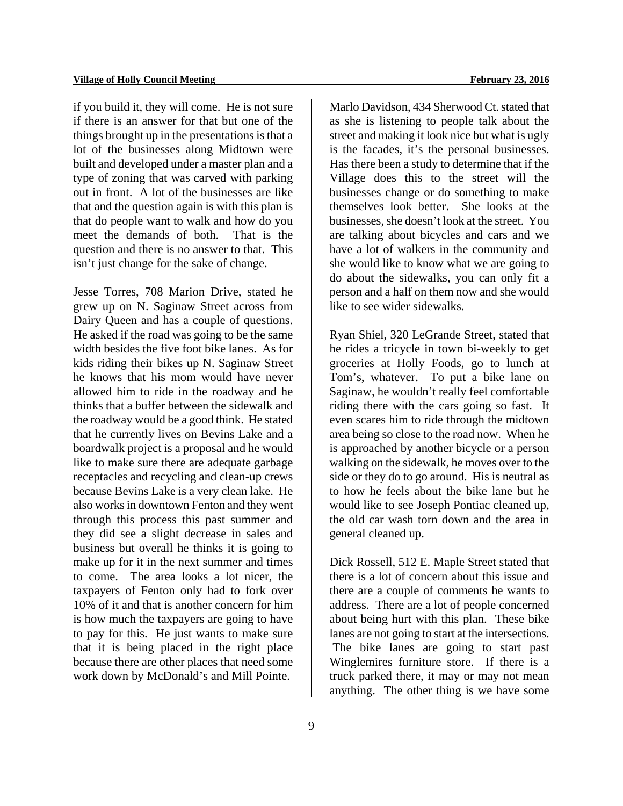if you build it, they will come. He is not sure if there is an answer for that but one of the things brought up in the presentations is that a lot of the businesses along Midtown were built and developed under a master plan and a type of zoning that was carved with parking out in front. A lot of the businesses are like that and the question again is with this plan is that do people want to walk and how do you meet the demands of both. That is the question and there is no answer to that. This isn't just change for the sake of change.

Jesse Torres, 708 Marion Drive, stated he grew up on N. Saginaw Street across from Dairy Queen and has a couple of questions. He asked if the road was going to be the same width besides the five foot bike lanes. As for kids riding their bikes up N. Saginaw Street he knows that his mom would have never allowed him to ride in the roadway and he thinks that a buffer between the sidewalk and the roadway would be a good think. He stated that he currently lives on Bevins Lake and a boardwalk project is a proposal and he would like to make sure there are adequate garbage receptacles and recycling and clean-up crews because Bevins Lake is a very clean lake. He also works in downtown Fenton and they went through this process this past summer and they did see a slight decrease in sales and business but overall he thinks it is going to make up for it in the next summer and times to come. The area looks a lot nicer, the taxpayers of Fenton only had to fork over 10% of it and that is another concern for him is how much the taxpayers are going to have to pay for this. He just wants to make sure that it is being placed in the right place because there are other places that need some work down by McDonald's and Mill Pointe.

Marlo Davidson, 434 Sherwood Ct. stated that as she is listening to people talk about the street and making it look nice but what is ugly is the facades, it's the personal businesses. Has there been a study to determine that if the Village does this to the street will the businesses change or do something to make themselves look better. She looks at the businesses, she doesn't look at the street. You are talking about bicycles and cars and we have a lot of walkers in the community and she would like to know what we are going to do about the sidewalks, you can only fit a person and a half on them now and she would like to see wider sidewalks.

Ryan Shiel, 320 LeGrande Street, stated that he rides a tricycle in town bi-weekly to get groceries at Holly Foods, go to lunch at Tom's, whatever. To put a bike lane on Saginaw, he wouldn't really feel comfortable riding there with the cars going so fast. It even scares him to ride through the midtown area being so close to the road now. When he is approached by another bicycle or a person walking on the sidewalk, he moves over to the side or they do to go around. His is neutral as to how he feels about the bike lane but he would like to see Joseph Pontiac cleaned up, the old car wash torn down and the area in general cleaned up.

Dick Rossell, 512 E. Maple Street stated that there is a lot of concern about this issue and there are a couple of comments he wants to address. There are a lot of people concerned about being hurt with this plan. These bike lanes are not going to start at the intersections. The bike lanes are going to start past Winglemires furniture store. If there is a truck parked there, it may or may not mean anything. The other thing is we have some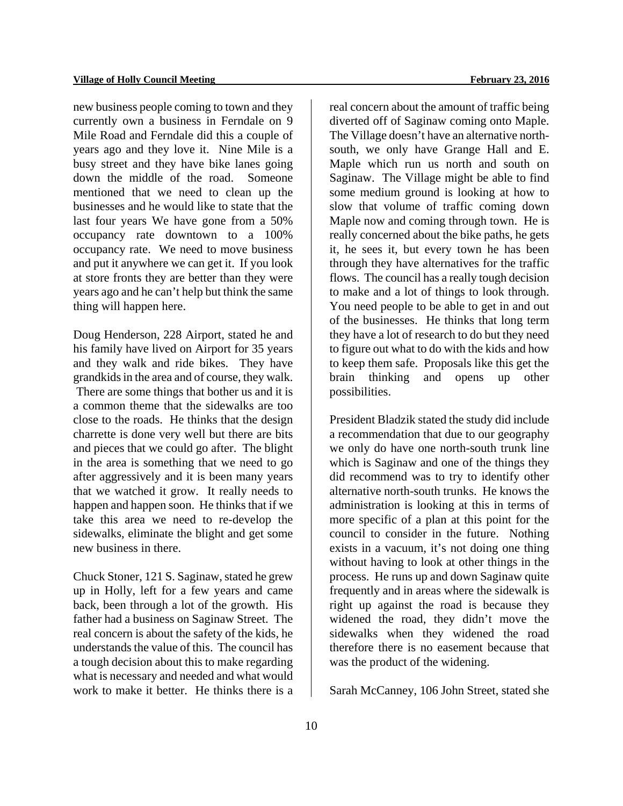new business people coming to town and they currently own a business in Ferndale on 9 Mile Road and Ferndale did this a couple of years ago and they love it. Nine Mile is a busy street and they have bike lanes going down the middle of the road. Someone mentioned that we need to clean up the businesses and he would like to state that the last four years We have gone from a 50% occupancy rate downtown to a 100% occupancy rate. We need to move business and put it anywhere we can get it. If you look at store fronts they are better than they were years ago and he can't help but think the same thing will happen here.

Doug Henderson, 228 Airport, stated he and his family have lived on Airport for 35 years and they walk and ride bikes. They have grandkids in the area and of course, they walk. There are some things that bother us and it is a common theme that the sidewalks are too close to the roads. He thinks that the design charrette is done very well but there are bits and pieces that we could go after. The blight in the area is something that we need to go after aggressively and it is been many years that we watched it grow. It really needs to happen and happen soon. He thinks that if we take this area we need to re-develop the sidewalks, eliminate the blight and get some new business in there.

Chuck Stoner, 121 S. Saginaw, stated he grew up in Holly, left for a few years and came back, been through a lot of the growth. His father had a business on Saginaw Street. The real concern is about the safety of the kids, he understands the value of this. The council has a tough decision about this to make regarding what is necessary and needed and what would work to make it better. He thinks there is a

real concern about the amount of traffic being diverted off of Saginaw coming onto Maple. The Village doesn't have an alternative northsouth, we only have Grange Hall and E. Maple which run us north and south on Saginaw. The Village might be able to find some medium ground is looking at how to slow that volume of traffic coming down Maple now and coming through town. He is really concerned about the bike paths, he gets it, he sees it, but every town he has been through they have alternatives for the traffic flows. The council has a really tough decision to make and a lot of things to look through. You need people to be able to get in and out of the businesses. He thinks that long term they have a lot of research to do but they need to figure out what to do with the kids and how to keep them safe. Proposals like this get the brain thinking and opens up other possibilities.

President Bladzik stated the study did include a recommendation that due to our geography we only do have one north-south trunk line which is Saginaw and one of the things they did recommend was to try to identify other alternative north-south trunks. He knows the administration is looking at this in terms of more specific of a plan at this point for the council to consider in the future. Nothing exists in a vacuum, it's not doing one thing without having to look at other things in the process. He runs up and down Saginaw quite frequently and in areas where the sidewalk is right up against the road is because they widened the road, they didn't move the sidewalks when they widened the road therefore there is no easement because that was the product of the widening.

Sarah McCanney, 106 John Street, stated she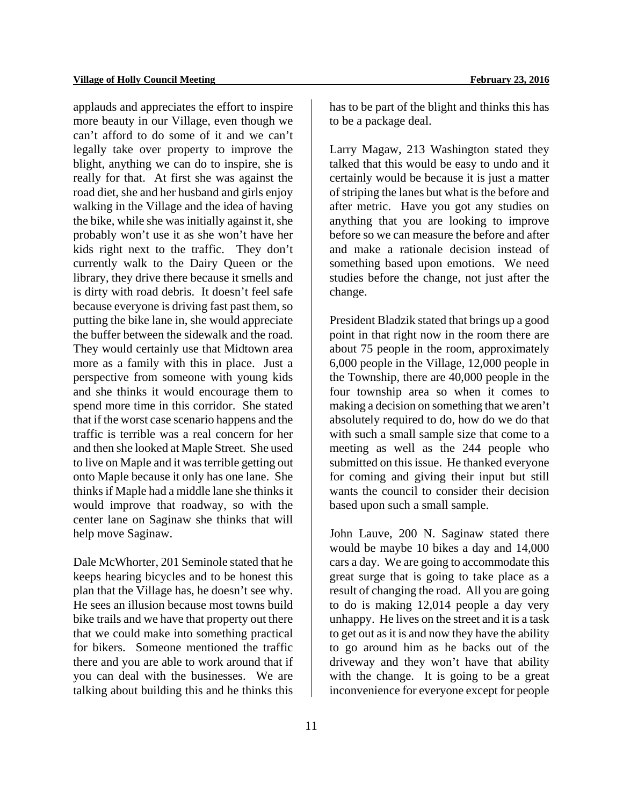applauds and appreciates the effort to inspire more beauty in our Village, even though we can't afford to do some of it and we can't legally take over property to improve the blight, anything we can do to inspire, she is really for that. At first she was against the road diet, she and her husband and girls enjoy walking in the Village and the idea of having the bike, while she was initially against it, she probably won't use it as she won't have her kids right next to the traffic. They don't currently walk to the Dairy Queen or the library, they drive there because it smells and is dirty with road debris. It doesn't feel safe because everyone is driving fast past them, so putting the bike lane in, she would appreciate the buffer between the sidewalk and the road. They would certainly use that Midtown area more as a family with this in place. Just a perspective from someone with young kids and she thinks it would encourage them to spend more time in this corridor. She stated that if the worst case scenario happens and the traffic is terrible was a real concern for her and then she looked at Maple Street. She used to live on Maple and it was terrible getting out onto Maple because it only has one lane. She thinks if Maple had a middle lane she thinks it would improve that roadway, so with the center lane on Saginaw she thinks that will help move Saginaw.

Dale McWhorter, 201 Seminole stated that he keeps hearing bicycles and to be honest this plan that the Village has, he doesn't see why. He sees an illusion because most towns build bike trails and we have that property out there that we could make into something practical for bikers. Someone mentioned the traffic there and you are able to work around that if you can deal with the businesses. We are talking about building this and he thinks this

11

has to be part of the blight and thinks this has to be a package deal.

Larry Magaw, 213 Washington stated they talked that this would be easy to undo and it certainly would be because it is just a matter of striping the lanes but what is the before and after metric. Have you got any studies on anything that you are looking to improve before so we can measure the before and after and make a rationale decision instead of something based upon emotions. We need studies before the change, not just after the change.

President Bladzik stated that brings up a good point in that right now in the room there are about 75 people in the room, approximately 6,000 people in the Village, 12,000 people in the Township, there are 40,000 people in the four township area so when it comes to making a decision on something that we aren't absolutely required to do, how do we do that with such a small sample size that come to a meeting as well as the 244 people who submitted on this issue. He thanked everyone for coming and giving their input but still wants the council to consider their decision based upon such a small sample.

John Lauve, 200 N. Saginaw stated there would be maybe 10 bikes a day and 14,000 cars a day. We are going to accommodate this great surge that is going to take place as a result of changing the road. All you are going to do is making 12,014 people a day very unhappy. He lives on the street and it is a task to get out as it is and now they have the ability to go around him as he backs out of the driveway and they won't have that ability with the change. It is going to be a great inconvenience for everyone except for people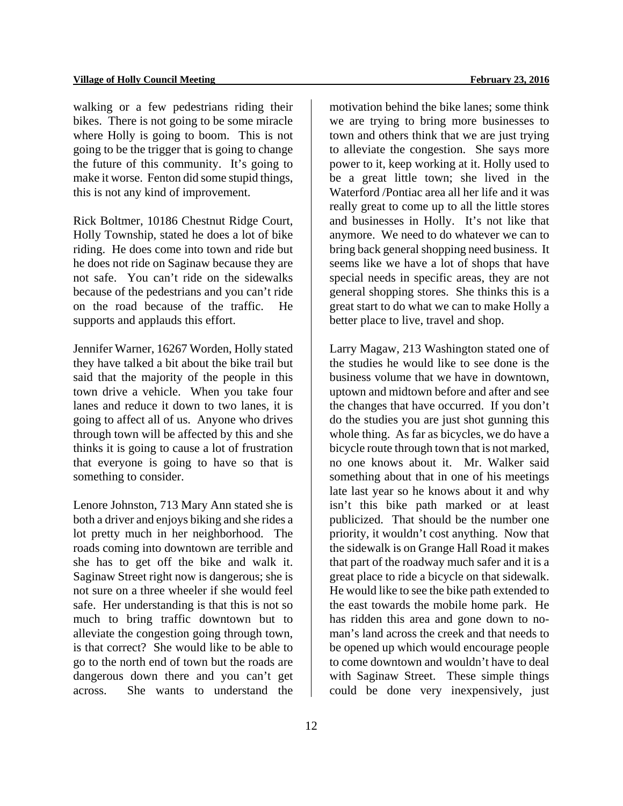walking or a few pedestrians riding their bikes. There is not going to be some miracle where Holly is going to boom. This is not going to be the trigger that is going to change the future of this community. It's going to make it worse. Fenton did some stupid things, this is not any kind of improvement.

Rick Boltmer, 10186 Chestnut Ridge Court, Holly Township, stated he does a lot of bike riding. He does come into town and ride but he does not ride on Saginaw because they are not safe. You can't ride on the sidewalks because of the pedestrians and you can't ride on the road because of the traffic. He supports and applauds this effort.

Jennifer Warner, 16267 Worden, Holly stated they have talked a bit about the bike trail but said that the majority of the people in this town drive a vehicle. When you take four lanes and reduce it down to two lanes, it is going to affect all of us. Anyone who drives through town will be affected by this and she thinks it is going to cause a lot of frustration that everyone is going to have so that is something to consider.

Lenore Johnston, 713 Mary Ann stated she is both a driver and enjoys biking and she rides a lot pretty much in her neighborhood. The roads coming into downtown are terrible and she has to get off the bike and walk it. Saginaw Street right now is dangerous; she is not sure on a three wheeler if she would feel safe. Her understanding is that this is not so much to bring traffic downtown but to alleviate the congestion going through town, is that correct? She would like to be able to go to the north end of town but the roads are dangerous down there and you can't get across. She wants to understand the

motivation behind the bike lanes; some think we are trying to bring more businesses to town and others think that we are just trying to alleviate the congestion. She says more power to it, keep working at it. Holly used to be a great little town; she lived in the Waterford /Pontiac area all her life and it was really great to come up to all the little stores and businesses in Holly. It's not like that anymore. We need to do whatever we can to bring back general shopping need business. It seems like we have a lot of shops that have special needs in specific areas, they are not general shopping stores. She thinks this is a great start to do what we can to make Holly a better place to live, travel and shop.

Larry Magaw, 213 Washington stated one of the studies he would like to see done is the business volume that we have in downtown, uptown and midtown before and after and see the changes that have occurred. If you don't do the studies you are just shot gunning this whole thing. As far as bicycles, we do have a bicycle route through town that is not marked, no one knows about it. Mr. Walker said something about that in one of his meetings late last year so he knows about it and why isn't this bike path marked or at least publicized. That should be the number one priority, it wouldn't cost anything. Now that the sidewalk is on Grange Hall Road it makes that part of the roadway much safer and it is a great place to ride a bicycle on that sidewalk. He would like to see the bike path extended to the east towards the mobile home park. He has ridden this area and gone down to noman's land across the creek and that needs to be opened up which would encourage people to come downtown and wouldn't have to deal with Saginaw Street. These simple things could be done very inexpensively, just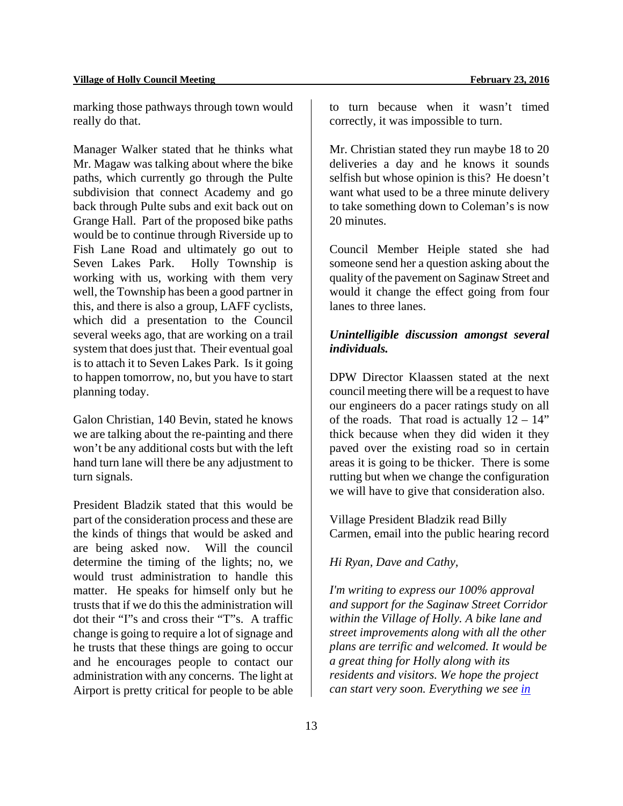marking those pathways through town would really do that.

Manager Walker stated that he thinks what Mr. Magaw was talking about where the bike paths, which currently go through the Pulte subdivision that connect Academy and go back through Pulte subs and exit back out on Grange Hall. Part of the proposed bike paths would be to continue through Riverside up to Fish Lane Road and ultimately go out to Seven Lakes Park. Holly Township is working with us, working with them very well, the Township has been a good partner in this, and there is also a group, LAFF cyclists, which did a presentation to the Council several weeks ago, that are working on a trail system that does just that. Their eventual goal is to attach it to Seven Lakes Park. Is it going to happen tomorrow, no, but you have to start planning today.

Galon Christian, 140 Bevin, stated he knows we are talking about the re-painting and there won't be any additional costs but with the left hand turn lane will there be any adjustment to turn signals.

President Bladzik stated that this would be part of the consideration process and these are the kinds of things that would be asked and are being asked now. Will the council determine the timing of the lights; no, we would trust administration to handle this matter. He speaks for himself only but he trusts that if we do this the administration will dot their "I"s and cross their "T"s. A traffic change is going to require a lot of signage and he trusts that these things are going to occur and he encourages people to contact our administration with any concerns. The light at Airport is pretty critical for people to be able

to turn because when it wasn't timed correctly, it was impossible to turn.

Mr. Christian stated they run maybe 18 to 20 deliveries a day and he knows it sounds selfish but whose opinion is this? He doesn't want what used to be a three minute delivery to take something down to Coleman's is now 20 minutes.

Council Member Heiple stated she had someone send her a question asking about the quality of the pavement on Saginaw Street and would it change the effect going from four lanes to three lanes.

## *Unintelligible discussion amongst several individuals.*

DPW Director Klaassen stated at the next council meeting there will be a request to have our engineers do a pacer ratings study on all of the roads. That road is actually  $12 - 14$ " thick because when they did widen it they paved over the existing road so in certain areas it is going to be thicker. There is some rutting but when we change the configuration we will have to give that consideration also.

Village President Bladzik read Billy Carmen, email into the public hearing record

*Hi Ryan, Dave and Cathy,* 

*I'm writing to express our 100% approval and support for the Saginaw Street Corridor within the Village of Holly. A bike lane and street improvements along with all the other plans are terrific and welcomed. It would be a great thing for Holly along with its residents and visitors. We hope the project can start very soon. Everything we see in*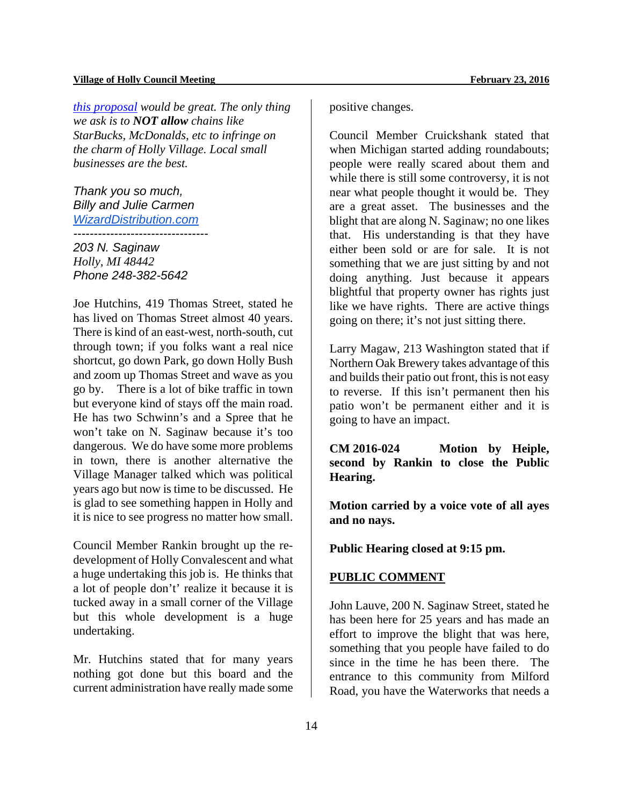*this proposal would be great. The only thing we ask is to NOT allow chains like StarBucks, McDonalds, etc to infringe on the charm of Holly Village. Local small businesses are the best.* 

*Thank you so much, Billy and Julie Carmen WizardDistribution.com ---------------------------------* 

*203 N. Saginaw Holly, MI 48442 Phone 248-382-5642*

Joe Hutchins, 419 Thomas Street, stated he has lived on Thomas Street almost 40 years. There is kind of an east-west, north-south, cut through town; if you folks want a real nice shortcut, go down Park, go down Holly Bush and zoom up Thomas Street and wave as you go by. There is a lot of bike traffic in town but everyone kind of stays off the main road. He has two Schwinn's and a Spree that he won't take on N. Saginaw because it's too dangerous. We do have some more problems in town, there is another alternative the Village Manager talked which was political years ago but now is time to be discussed. He is glad to see something happen in Holly and it is nice to see progress no matter how small.

Council Member Rankin brought up the redevelopment of Holly Convalescent and what a huge undertaking this job is. He thinks that a lot of people don't' realize it because it is tucked away in a small corner of the Village but this whole development is a huge undertaking.

Mr. Hutchins stated that for many years nothing got done but this board and the current administration have really made some

positive changes.

Council Member Cruickshank stated that when Michigan started adding roundabouts; people were really scared about them and while there is still some controversy, it is not near what people thought it would be. They are a great asset. The businesses and the blight that are along N. Saginaw; no one likes that. His understanding is that they have either been sold or are for sale. It is not something that we are just sitting by and not doing anything. Just because it appears blightful that property owner has rights just like we have rights. There are active things going on there; it's not just sitting there.

Larry Magaw, 213 Washington stated that if Northern Oak Brewery takes advantage of this and builds their patio out front, this is not easy to reverse. If this isn't permanent then his patio won't be permanent either and it is going to have an impact.

**CM 2016-024 Motion by Heiple, second by Rankin to close the Public Hearing.** 

**Motion carried by a voice vote of all ayes and no nays.** 

**Public Hearing closed at 9:15 pm.** 

## **PUBLIC COMMENT**

John Lauve, 200 N. Saginaw Street, stated he has been here for 25 years and has made an effort to improve the blight that was here, something that you people have failed to do since in the time he has been there. The entrance to this community from Milford Road, you have the Waterworks that needs a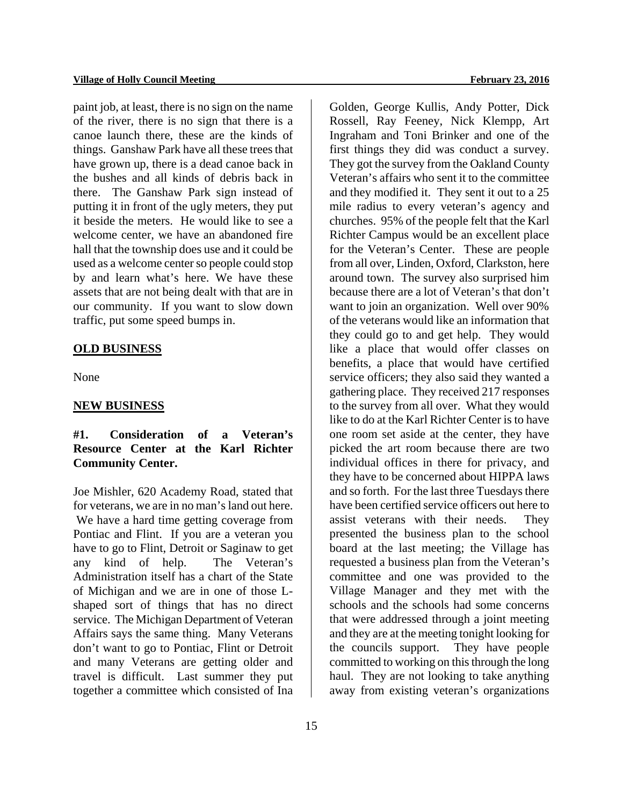paint job, at least, there is no sign on the name of the river, there is no sign that there is a canoe launch there, these are the kinds of things. Ganshaw Park have all these trees that have grown up, there is a dead canoe back in the bushes and all kinds of debris back in there. The Ganshaw Park sign instead of putting it in front of the ugly meters, they put it beside the meters. He would like to see a welcome center, we have an abandoned fire hall that the township does use and it could be used as a welcome center so people could stop by and learn what's here. We have these assets that are not being dealt with that are in our community. If you want to slow down traffic, put some speed bumps in.

#### **OLD BUSINESS**

None

#### **NEW BUSINESS**

## **#1. Consideration of a Veteran's Resource Center at the Karl Richter Community Center.**

Joe Mishler, 620 Academy Road, stated that for veterans, we are in no man's land out here. We have a hard time getting coverage from Pontiac and Flint. If you are a veteran you have to go to Flint, Detroit or Saginaw to get any kind of help. The Veteran's Administration itself has a chart of the State of Michigan and we are in one of those Lshaped sort of things that has no direct service. The Michigan Department of Veteran Affairs says the same thing. Many Veterans don't want to go to Pontiac, Flint or Detroit and many Veterans are getting older and travel is difficult. Last summer they put together a committee which consisted of Ina

Golden, George Kullis, Andy Potter, Dick Rossell, Ray Feeney, Nick Klempp, Art Ingraham and Toni Brinker and one of the first things they did was conduct a survey. They got the survey from the Oakland County Veteran's affairs who sent it to the committee and they modified it. They sent it out to a 25 mile radius to every veteran's agency and churches. 95% of the people felt that the Karl Richter Campus would be an excellent place for the Veteran's Center. These are people from all over, Linden, Oxford, Clarkston, here around town. The survey also surprised him because there are a lot of Veteran's that don't want to join an organization. Well over 90% of the veterans would like an information that they could go to and get help. They would like a place that would offer classes on benefits, a place that would have certified service officers; they also said they wanted a gathering place. They received 217 responses to the survey from all over. What they would like to do at the Karl Richter Center is to have one room set aside at the center, they have picked the art room because there are two individual offices in there for privacy, and they have to be concerned about HIPPA laws and so forth. For the last three Tuesdays there have been certified service officers out here to assist veterans with their needs. They presented the business plan to the school board at the last meeting; the Village has requested a business plan from the Veteran's committee and one was provided to the Village Manager and they met with the schools and the schools had some concerns that were addressed through a joint meeting and they are at the meeting tonight looking for the councils support. They have people committed to working on this through the long haul. They are not looking to take anything away from existing veteran's organizations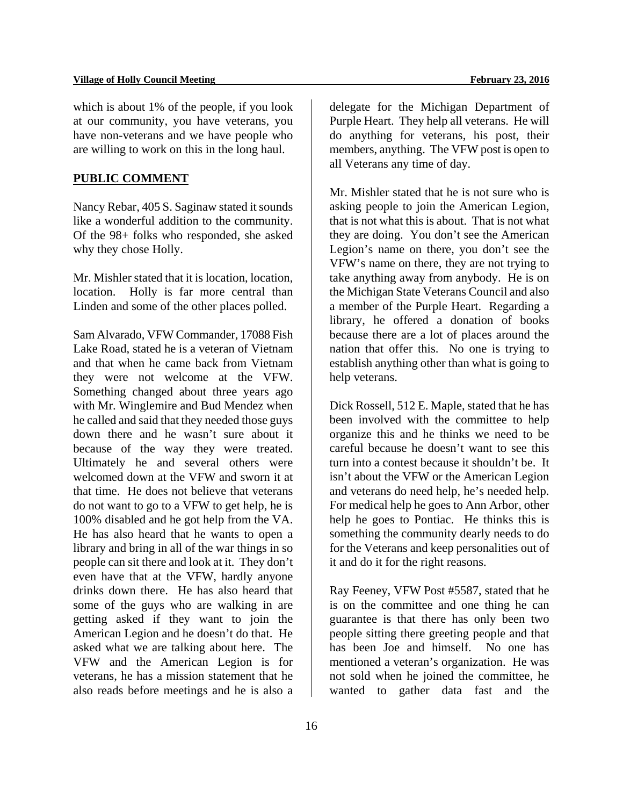#### Village of Holly Council Meeting **February 23, 2016 February 23, 2016**

which is about 1% of the people, if you look at our community, you have veterans, you have non-veterans and we have people who are willing to work on this in the long haul.

### **PUBLIC COMMENT**

Nancy Rebar, 405 S. Saginaw stated it sounds like a wonderful addition to the community. Of the 98+ folks who responded, she asked why they chose Holly.

Mr. Mishler stated that it is location, location, location. Holly is far more central than Linden and some of the other places polled.

Sam Alvarado, VFW Commander, 17088 Fish Lake Road, stated he is a veteran of Vietnam and that when he came back from Vietnam they were not welcome at the VFW. Something changed about three years ago with Mr. Winglemire and Bud Mendez when he called and said that they needed those guys down there and he wasn't sure about it because of the way they were treated. Ultimately he and several others were welcomed down at the VFW and sworn it at that time. He does not believe that veterans do not want to go to a VFW to get help, he is 100% disabled and he got help from the VA. He has also heard that he wants to open a library and bring in all of the war things in so people can sit there and look at it. They don't even have that at the VFW, hardly anyone drinks down there. He has also heard that some of the guys who are walking in are getting asked if they want to join the American Legion and he doesn't do that. He asked what we are talking about here. The VFW and the American Legion is for veterans, he has a mission statement that he also reads before meetings and he is also a

delegate for the Michigan Department of Purple Heart. They help all veterans. He will do anything for veterans, his post, their members, anything. The VFW post is open to all Veterans any time of day.

Mr. Mishler stated that he is not sure who is asking people to join the American Legion, that is not what this is about. That is not what they are doing. You don't see the American Legion's name on there, you don't see the VFW's name on there, they are not trying to take anything away from anybody. He is on the Michigan State Veterans Council and also a member of the Purple Heart. Regarding a library, he offered a donation of books because there are a lot of places around the nation that offer this. No one is trying to establish anything other than what is going to help veterans.

Dick Rossell, 512 E. Maple, stated that he has been involved with the committee to help organize this and he thinks we need to be careful because he doesn't want to see this turn into a contest because it shouldn't be. It isn't about the VFW or the American Legion and veterans do need help, he's needed help. For medical help he goes to Ann Arbor, other help he goes to Pontiac. He thinks this is something the community dearly needs to do for the Veterans and keep personalities out of it and do it for the right reasons.

Ray Feeney, VFW Post #5587, stated that he is on the committee and one thing he can guarantee is that there has only been two people sitting there greeting people and that has been Joe and himself. No one has mentioned a veteran's organization. He was not sold when he joined the committee, he wanted to gather data fast and the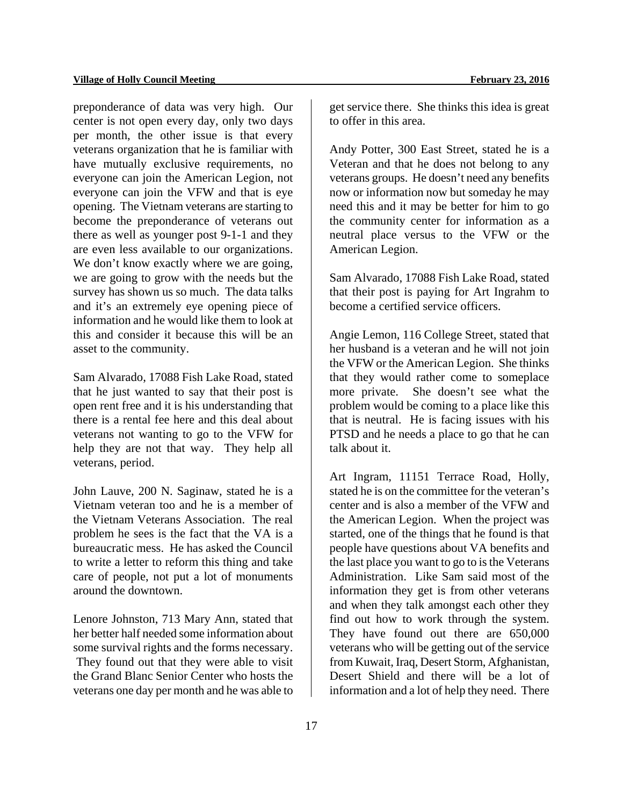preponderance of data was very high. Our center is not open every day, only two days per month, the other issue is that every veterans organization that he is familiar with have mutually exclusive requirements, no everyone can join the American Legion, not everyone can join the VFW and that is eye opening. The Vietnam veterans are starting to become the preponderance of veterans out there as well as younger post 9-1-1 and they are even less available to our organizations. We don't know exactly where we are going, we are going to grow with the needs but the survey has shown us so much. The data talks and it's an extremely eye opening piece of information and he would like them to look at this and consider it because this will be an asset to the community.

Sam Alvarado, 17088 Fish Lake Road, stated that he just wanted to say that their post is open rent free and it is his understanding that there is a rental fee here and this deal about veterans not wanting to go to the VFW for help they are not that way. They help all veterans, period.

John Lauve, 200 N. Saginaw, stated he is a Vietnam veteran too and he is a member of the Vietnam Veterans Association. The real problem he sees is the fact that the VA is a bureaucratic mess. He has asked the Council to write a letter to reform this thing and take care of people, not put a lot of monuments around the downtown.

Lenore Johnston, 713 Mary Ann, stated that her better half needed some information about some survival rights and the forms necessary. They found out that they were able to visit the Grand Blanc Senior Center who hosts the veterans one day per month and he was able to

get service there. She thinks this idea is great to offer in this area.

Andy Potter, 300 East Street, stated he is a Veteran and that he does not belong to any veterans groups. He doesn't need any benefits now or information now but someday he may need this and it may be better for him to go the community center for information as a neutral place versus to the VFW or the American Legion.

Sam Alvarado, 17088 Fish Lake Road, stated that their post is paying for Art Ingrahm to become a certified service officers.

Angie Lemon, 116 College Street, stated that her husband is a veteran and he will not join the VFW or the American Legion. She thinks that they would rather come to someplace more private. She doesn't see what the problem would be coming to a place like this that is neutral. He is facing issues with his PTSD and he needs a place to go that he can talk about it.

Art Ingram, 11151 Terrace Road, Holly, stated he is on the committee for the veteran's center and is also a member of the VFW and the American Legion. When the project was started, one of the things that he found is that people have questions about VA benefits and the last place you want to go to is the Veterans Administration. Like Sam said most of the information they get is from other veterans and when they talk amongst each other they find out how to work through the system. They have found out there are 650,000 veterans who will be getting out of the service from Kuwait, Iraq, Desert Storm, Afghanistan, Desert Shield and there will be a lot of information and a lot of help they need. There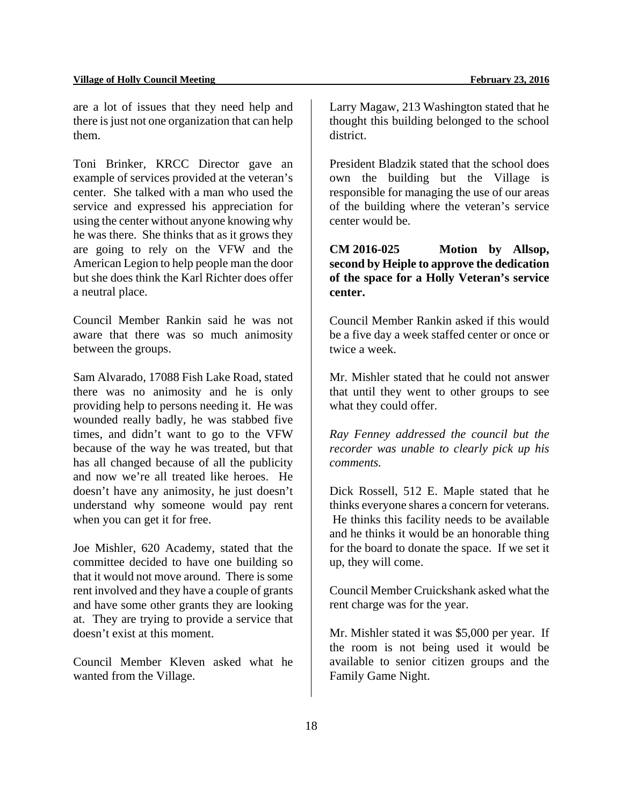are a lot of issues that they need help and there is just not one organization that can help them.

Toni Brinker, KRCC Director gave an example of services provided at the veteran's center. She talked with a man who used the service and expressed his appreciation for using the center without anyone knowing why he was there. She thinks that as it grows they are going to rely on the VFW and the American Legion to help people man the door but she does think the Karl Richter does offer a neutral place.

Council Member Rankin said he was not aware that there was so much animosity between the groups.

Sam Alvarado, 17088 Fish Lake Road, stated there was no animosity and he is only providing help to persons needing it. He was wounded really badly, he was stabbed five times, and didn't want to go to the VFW because of the way he was treated, but that has all changed because of all the publicity and now we're all treated like heroes. He doesn't have any animosity, he just doesn't understand why someone would pay rent when you can get it for free.

Joe Mishler, 620 Academy, stated that the committee decided to have one building so that it would not move around. There is some rent involved and they have a couple of grants and have some other grants they are looking at. They are trying to provide a service that doesn't exist at this moment.

Council Member Kleven asked what he wanted from the Village.

Larry Magaw, 213 Washington stated that he thought this building belonged to the school district.

President Bladzik stated that the school does own the building but the Village is responsible for managing the use of our areas of the building where the veteran's service center would be.

## **CM 2016-025 Motion by Allsop, second by Heiple to approve the dedication of the space for a Holly Veteran's service center.**

Council Member Rankin asked if this would be a five day a week staffed center or once or twice a week.

Mr. Mishler stated that he could not answer that until they went to other groups to see what they could offer.

*Ray Fenney addressed the council but the recorder was unable to clearly pick up his comments.* 

Dick Rossell, 512 E. Maple stated that he thinks everyone shares a concern for veterans. He thinks this facility needs to be available and he thinks it would be an honorable thing for the board to donate the space. If we set it up, they will come.

Council Member Cruickshank asked what the rent charge was for the year.

Mr. Mishler stated it was \$5,000 per year. If the room is not being used it would be available to senior citizen groups and the Family Game Night.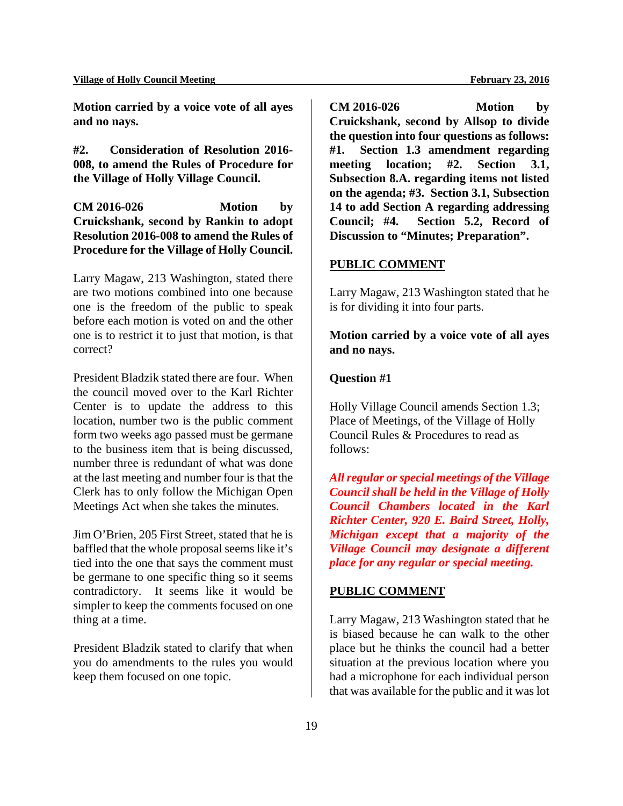**Motion carried by a voice vote of all ayes and no nays.** 

**#2. Consideration of Resolution 2016- 008, to amend the Rules of Procedure for the Village of Holly Village Council.** 

**CM 2016-026 Motion by Cruickshank, second by Rankin to adopt Resolution 2016-008 to amend the Rules of Procedure for the Village of Holly Council.** 

Larry Magaw, 213 Washington, stated there are two motions combined into one because one is the freedom of the public to speak before each motion is voted on and the other one is to restrict it to just that motion, is that correct?

President Bladzik stated there are four. When the council moved over to the Karl Richter Center is to update the address to this location, number two is the public comment form two weeks ago passed must be germane to the business item that is being discussed, number three is redundant of what was done at the last meeting and number four is that the Clerk has to only follow the Michigan Open Meetings Act when she takes the minutes.

Jim O'Brien, 205 First Street, stated that he is baffled that the whole proposal seems like it's tied into the one that says the comment must be germane to one specific thing so it seems contradictory. It seems like it would be simpler to keep the comments focused on one thing at a time.

President Bladzik stated to clarify that when you do amendments to the rules you would keep them focused on one topic.

**CM 2016-026 Motion by Cruickshank, second by Allsop to divide the question into four questions as follows: #1. Section 1.3 amendment regarding meeting location; #2. Section 3.1, Subsection 8.A. regarding items not listed on the agenda; #3. Section 3.1, Subsection 14 to add Section A regarding addressing Council; #4. Section 5.2, Record of Discussion to "Minutes; Preparation".** 

## **PUBLIC COMMENT**

Larry Magaw, 213 Washington stated that he is for dividing it into four parts.

**Motion carried by a voice vote of all ayes and no nays.** 

#### **Question #1**

Holly Village Council amends Section 1.3; Place of Meetings, of the Village of Holly Council Rules & Procedures to read as follows:

*All regular or special meetings of the Village Council shall be held in the Village of Holly Council Chambers located in the Karl Richter Center, 920 E. Baird Street, Holly, Michigan except that a majority of the Village Council may designate a different place for any regular or special meeting.* 

#### **PUBLIC COMMENT**

Larry Magaw, 213 Washington stated that he is biased because he can walk to the other place but he thinks the council had a better situation at the previous location where you had a microphone for each individual person that was available for the public and it was lot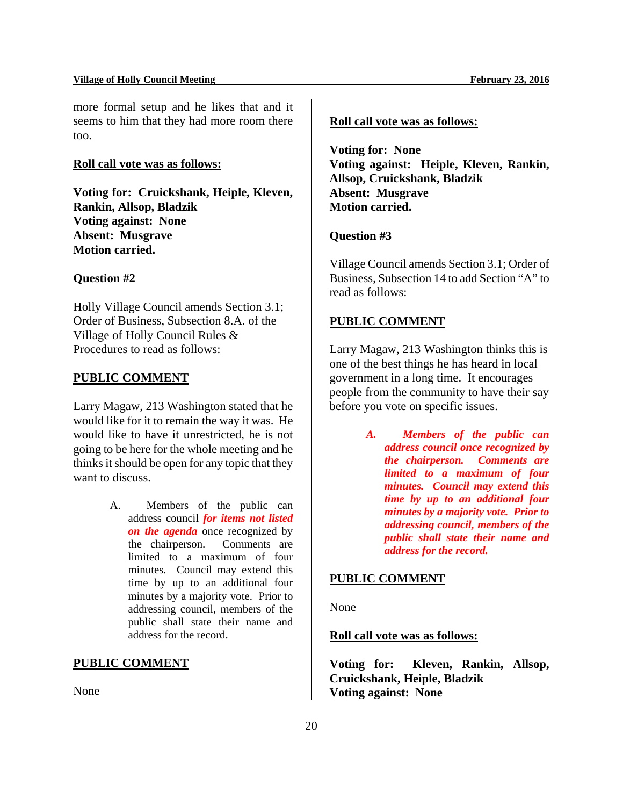#### Village of Holly Council Meeting **February 23, 2016 February 23, 2016**

more formal setup and he likes that and it seems to him that they had more room there too.

#### **Roll call vote was as follows:**

**Voting for: Cruickshank, Heiple, Kleven, Rankin, Allsop, Bladzik Voting against: None Absent: Musgrave Motion carried.** 

#### **Question #2**

Holly Village Council amends Section 3.1; Order of Business, Subsection 8.A. of the Village of Holly Council Rules & Procedures to read as follows:

#### **PUBLIC COMMENT**

Larry Magaw, 213 Washington stated that he would like for it to remain the way it was. He would like to have it unrestricted, he is not going to be here for the whole meeting and he thinks it should be open for any topic that they want to discuss.

> A. Members of the public can address council *for items not listed on the agenda* once recognized by the chairperson. Comments are limited to a maximum of four minutes. Council may extend this time by up to an additional four minutes by a majority vote. Prior to addressing council, members of the public shall state their name and address for the record.

#### **PUBLIC COMMENT**

None

## **Roll call vote was as follows:**

**Voting for: None Voting against: Heiple, Kleven, Rankin, Allsop, Cruickshank, Bladzik Absent: Musgrave Motion carried.** 

#### **Question #3**

Village Council amends Section 3.1; Order of Business, Subsection 14 to add Section "A" to read as follows:

#### **PUBLIC COMMENT**

Larry Magaw, 213 Washington thinks this is one of the best things he has heard in local government in a long time. It encourages people from the community to have their say before you vote on specific issues.

> *A. Members of the public can address council once recognized by the chairperson. Comments are limited to a maximum of four minutes. Council may extend this time by up to an additional four minutes by a majority vote. Prior to addressing council, members of the public shall state their name and address for the record.*

## **PUBLIC COMMENT**

None

**Roll call vote was as follows:** 

**Voting for: Kleven, Rankin, Allsop, Cruickshank, Heiple, Bladzik Voting against: None**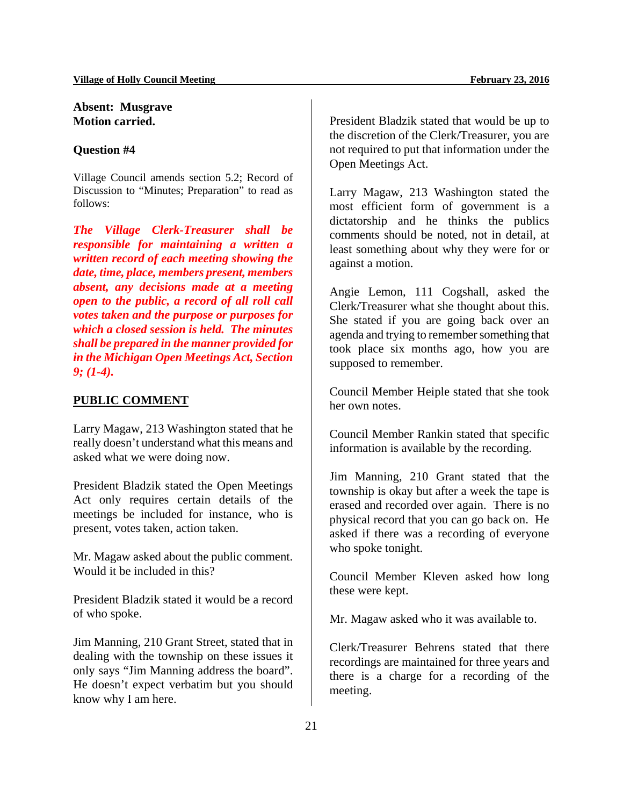## **Absent: Musgrave Motion carried.**

#### **Question #4**

Village Council amends section 5.2; Record of Discussion to "Minutes; Preparation" to read as follows:

*The Village Clerk-Treasurer shall be responsible for maintaining a written a written record of each meeting showing the date, time, place, members present, members absent, any decisions made at a meeting open to the public, a record of all roll call votes taken and the purpose or purposes for which a closed session is held. The minutes shall be prepared in the manner provided for in the Michigan Open Meetings Act, Section 9; (1-4).*

#### **PUBLIC COMMENT**

Larry Magaw, 213 Washington stated that he really doesn't understand what this means and asked what we were doing now.

President Bladzik stated the Open Meetings Act only requires certain details of the meetings be included for instance, who is present, votes taken, action taken.

Mr. Magaw asked about the public comment. Would it be included in this?

President Bladzik stated it would be a record of who spoke.

Jim Manning, 210 Grant Street, stated that in dealing with the township on these issues it only says "Jim Manning address the board". He doesn't expect verbatim but you should know why I am here.

President Bladzik stated that would be up to the discretion of the Clerk/Treasurer, you are not required to put that information under the Open Meetings Act.

Larry Magaw, 213 Washington stated the most efficient form of government is a dictatorship and he thinks the publics comments should be noted, not in detail, at least something about why they were for or against a motion.

Angie Lemon, 111 Cogshall, asked the Clerk/Treasurer what she thought about this. She stated if you are going back over an agenda and trying to remember something that took place six months ago, how you are supposed to remember.

Council Member Heiple stated that she took her own notes.

Council Member Rankin stated that specific information is available by the recording.

Jim Manning, 210 Grant stated that the township is okay but after a week the tape is erased and recorded over again. There is no physical record that you can go back on. He asked if there was a recording of everyone who spoke tonight.

Council Member Kleven asked how long these were kept.

Mr. Magaw asked who it was available to.

Clerk/Treasurer Behrens stated that there recordings are maintained for three years and there is a charge for a recording of the meeting.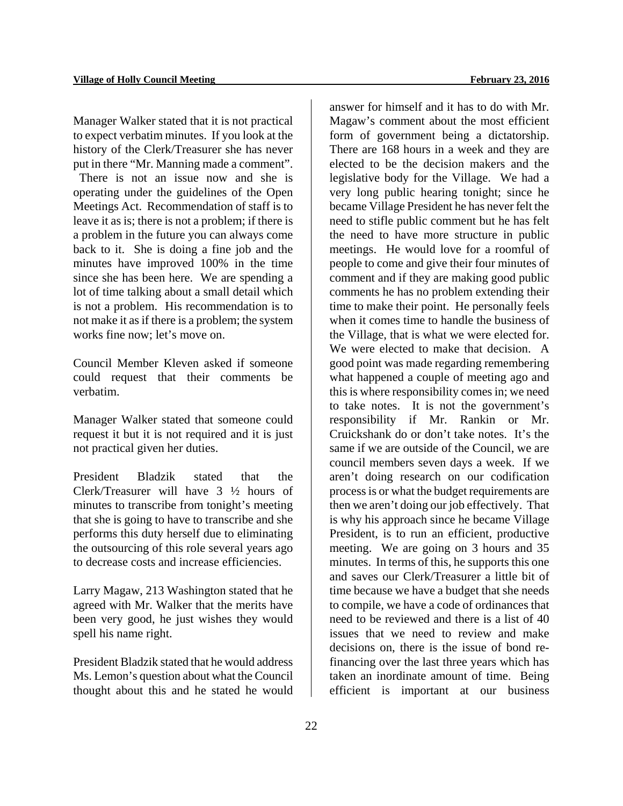Manager Walker stated that it is not practical to expect verbatim minutes. If you look at the history of the Clerk/Treasurer she has never put in there "Mr. Manning made a comment".

 There is not an issue now and she is operating under the guidelines of the Open Meetings Act. Recommendation of staff is to leave it as is; there is not a problem; if there is a problem in the future you can always come back to it. She is doing a fine job and the minutes have improved 100% in the time since she has been here. We are spending a lot of time talking about a small detail which is not a problem. His recommendation is to not make it as if there is a problem; the system works fine now; let's move on.

Council Member Kleven asked if someone could request that their comments be verbatim.

Manager Walker stated that someone could request it but it is not required and it is just not practical given her duties.

President Bladzik stated that the Clerk/Treasurer will have 3 ½ hours of minutes to transcribe from tonight's meeting that she is going to have to transcribe and she performs this duty herself due to eliminating the outsourcing of this role several years ago to decrease costs and increase efficiencies.

Larry Magaw, 213 Washington stated that he agreed with Mr. Walker that the merits have been very good, he just wishes they would spell his name right.

President Bladzik stated that he would address Ms. Lemon's question about what the Council thought about this and he stated he would answer for himself and it has to do with Mr. Magaw's comment about the most efficient form of government being a dictatorship. There are 168 hours in a week and they are elected to be the decision makers and the legislative body for the Village. We had a very long public hearing tonight; since he became Village President he has never felt the need to stifle public comment but he has felt the need to have more structure in public meetings. He would love for a roomful of people to come and give their four minutes of comment and if they are making good public comments he has no problem extending their time to make their point. He personally feels when it comes time to handle the business of the Village, that is what we were elected for. We were elected to make that decision. A good point was made regarding remembering what happened a couple of meeting ago and this is where responsibility comes in; we need to take notes. It is not the government's responsibility if Mr. Rankin or Mr. Cruickshank do or don't take notes. It's the same if we are outside of the Council, we are council members seven days a week. If we aren't doing research on our codification process is or what the budget requirements are then we aren't doing our job effectively. That is why his approach since he became Village President, is to run an efficient, productive meeting. We are going on 3 hours and 35 minutes. In terms of this, he supports this one and saves our Clerk/Treasurer a little bit of time because we have a budget that she needs to compile, we have a code of ordinances that need to be reviewed and there is a list of 40 issues that we need to review and make decisions on, there is the issue of bond refinancing over the last three years which has taken an inordinate amount of time. Being efficient is important at our business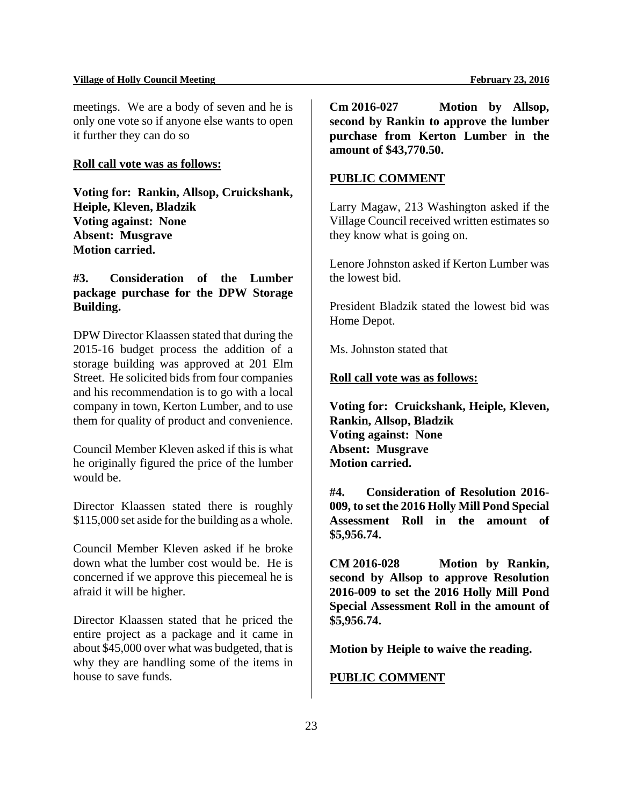#### **Village of Holly Council Meeting February 23, 2016**

meetings. We are a body of seven and he is only one vote so if anyone else wants to open it further they can do so

#### **Roll call vote was as follows:**

**Voting for: Rankin, Allsop, Cruickshank, Heiple, Kleven, Bladzik Voting against: None Absent: Musgrave Motion carried.** 

## **#3. Consideration of the Lumber package purchase for the DPW Storage Building.**

DPW Director Klaassen stated that during the 2015-16 budget process the addition of a storage building was approved at 201 Elm Street. He solicited bids from four companies and his recommendation is to go with a local company in town, Kerton Lumber, and to use them for quality of product and convenience.

Council Member Kleven asked if this is what he originally figured the price of the lumber would be.

Director Klaassen stated there is roughly \$115,000 set aside for the building as a whole.

Council Member Kleven asked if he broke down what the lumber cost would be. He is concerned if we approve this piecemeal he is afraid it will be higher.

Director Klaassen stated that he priced the entire project as a package and it came in about \$45,000 over what was budgeted, that is why they are handling some of the items in house to save funds.

**Cm 2016-027 Motion by Allsop, second by Rankin to approve the lumber purchase from Kerton Lumber in the amount of \$43,770.50.** 

## **PUBLIC COMMENT**

Larry Magaw, 213 Washington asked if the Village Council received written estimates so they know what is going on.

Lenore Johnston asked if Kerton Lumber was the lowest bid.

President Bladzik stated the lowest bid was Home Depot.

Ms. Johnston stated that

#### **Roll call vote was as follows:**

**Voting for: Cruickshank, Heiple, Kleven, Rankin, Allsop, Bladzik Voting against: None Absent: Musgrave Motion carried.** 

**#4. Consideration of Resolution 2016- 009, to set the 2016 Holly Mill Pond Special Assessment Roll in the amount of \$5,956.74.** 

**CM 2016-028 Motion by Rankin, second by Allsop to approve Resolution 2016-009 to set the 2016 Holly Mill Pond Special Assessment Roll in the amount of \$5,956.74.** 

**Motion by Heiple to waive the reading.** 

## **PUBLIC COMMENT**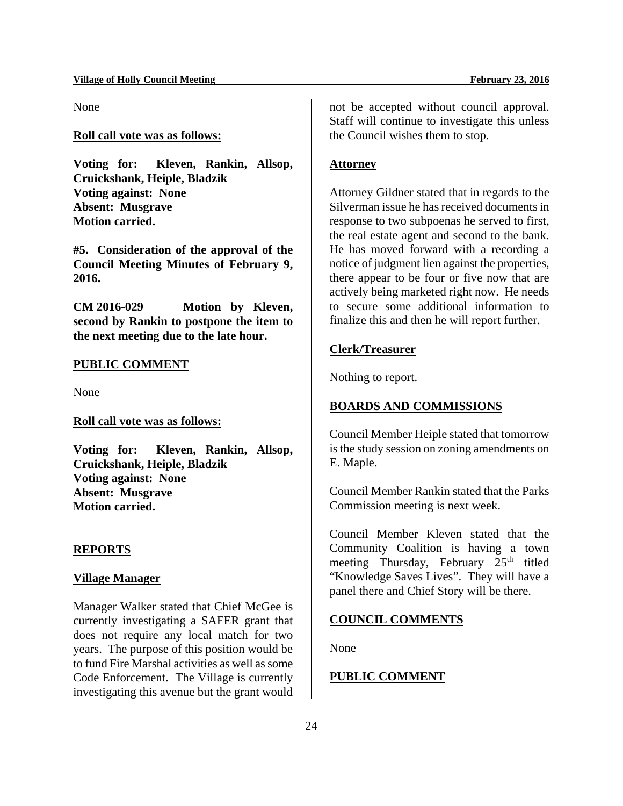None

## **Roll call vote was as follows:**

**Voting for: Kleven, Rankin, Allsop, Cruickshank, Heiple, Bladzik Voting against: None Absent: Musgrave Motion carried.** 

**#5. Consideration of the approval of the Council Meeting Minutes of February 9, 2016.** 

**CM 2016-029 Motion by Kleven, second by Rankin to postpone the item to the next meeting due to the late hour.** 

#### **PUBLIC COMMENT**

None

**Roll call vote was as follows:** 

**Voting for: Kleven, Rankin, Allsop, Cruickshank, Heiple, Bladzik Voting against: None Absent: Musgrave Motion carried.** 

#### **REPORTS**

#### **Village Manager**

Manager Walker stated that Chief McGee is currently investigating a SAFER grant that does not require any local match for two years. The purpose of this position would be to fund Fire Marshal activities as well as some Code Enforcement. The Village is currently investigating this avenue but the grant would not be accepted without council approval. Staff will continue to investigate this unless the Council wishes them to stop.

## **Attorney**

Attorney Gildner stated that in regards to the Silverman issue he has received documents in response to two subpoenas he served to first, the real estate agent and second to the bank. He has moved forward with a recording a notice of judgment lien against the properties, there appear to be four or five now that are actively being marketed right now. He needs to secure some additional information to finalize this and then he will report further.

#### **Clerk/Treasurer**

Nothing to report.

## **BOARDS AND COMMISSIONS**

Council Member Heiple stated that tomorrow is the study session on zoning amendments on E. Maple.

Council Member Rankin stated that the Parks Commission meeting is next week.

Council Member Kleven stated that the Community Coalition is having a town meeting Thursday, February 25<sup>th</sup> titled "Knowledge Saves Lives". They will have a panel there and Chief Story will be there.

#### **COUNCIL COMMENTS**

None

## **PUBLIC COMMENT**